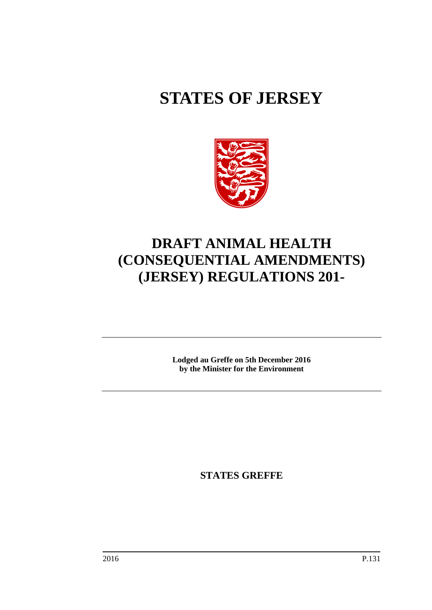# **STATES OF JERSEY**



## **DRAFT ANIMAL HEALTH (CONSEQUENTIAL AMENDMENTS) (JERSEY) REGULATIONS 201-**

**Lodged au Greffe on 5th December 2016 by the Minister for the Environment**

**STATES GREFFE**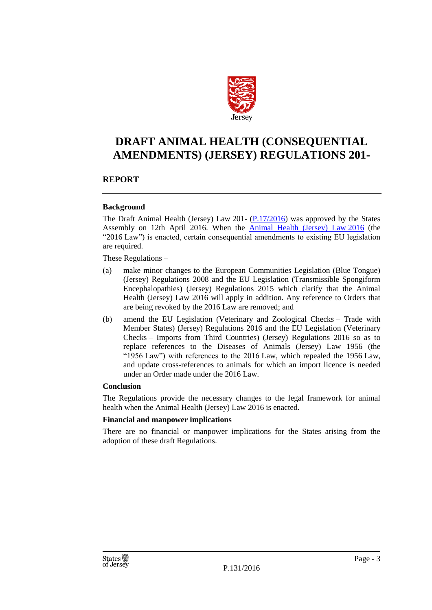

### **DRAFT ANIMAL HEALTH (CONSEQUENTIAL AMENDMENTS) (JERSEY) REGULATIONS 201-**

#### **REPORT**

#### **Background**

The Draft Animal Health (Jersey) Law 201- [\(P.17/2016\)](http://www.statesassembly.gov.je/AssemblyPropositions/2016/P.17-2016.pdf) was approved by the States Assembly on 12th April 2016. When the [Animal Health \(Jersey\) Law](https://www.jerseylaw.je/laws/enacted/Pages/L-12-2016.aspx) 2016 (the "2016 Law") is enacted, certain consequential amendments to existing EU legislation are required.

These Regulations –

- (a) make minor changes to the European Communities Legislation (Blue Tongue) (Jersey) Regulations 2008 and the EU Legislation (Transmissible Spongiform Encephalopathies) (Jersey) Regulations 2015 which clarify that the Animal Health (Jersey) Law 2016 will apply in addition. Any reference to Orders that are being revoked by the 2016 Law are removed; and
- (b) amend the EU Legislation (Veterinary and Zoological Checks Trade with Member States) (Jersey) Regulations 2016 and the EU Legislation (Veterinary Checks – Imports from Third Countries) (Jersey) Regulations 2016 so as to replace references to the Diseases of Animals (Jersey) Law 1956 (the "1956 Law") with references to the 2016 Law, which repealed the 1956 Law, and update cross-references to animals for which an import licence is needed under an Order made under the 2016 Law.

#### **Conclusion**

The Regulations provide the necessary changes to the legal framework for animal health when the Animal Health (Jersey) Law 2016 is enacted.

#### **Financial and manpower implications**

There are no financial or manpower implications for the States arising from the adoption of these draft Regulations.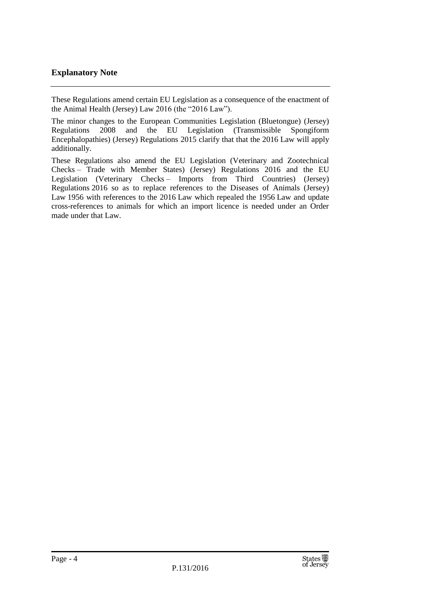#### **Explanatory Note**

These Regulations amend certain EU Legislation as a consequence of the enactment of the Animal Health (Jersey) Law 2016 (the "2016 Law").

The minor changes to the European Communities Legislation (Bluetongue) (Jersey) Regulations 2008 and the EU Legislation (Transmissible Spongiform Encephalopathies) (Jersey) Regulations 2015 clarify that that the 2016 Law will apply additionally.

These Regulations also amend the EU Legislation (Veterinary and Zootechnical Checks – Trade with Member States) (Jersey) Regulations 2016 and the EU Legislation (Veterinary Checks – Imports from Third Countries) (Jersey) Regulations 2016 so as to replace references to the Diseases of Animals (Jersey) Law 1956 with references to the 2016 Law which repealed the 1956 Law and update cross-references to animals for which an import licence is needed under an Order made under that Law.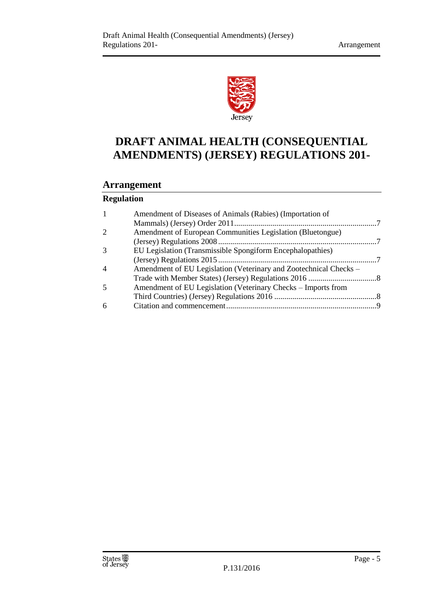

## **DRAFT ANIMAL HEALTH (CONSEQUENTIAL AMENDMENTS) (JERSEY) REGULATIONS 201-**

#### **Arrangement**

#### **Regulation**

|   | Amendment of Diseases of Animals (Rabies) (Importation of         |  |
|---|-------------------------------------------------------------------|--|
|   |                                                                   |  |
| 2 | Amendment of European Communities Legislation (Bluetongue)        |  |
|   |                                                                   |  |
| 3 | EU Legislation (Transmissible Spongiform Encephalopathies)        |  |
|   |                                                                   |  |
| 4 | Amendment of EU Legislation (Veterinary and Zootechnical Checks – |  |
|   |                                                                   |  |
| 5 | Amendment of EU Legislation (Veterinary Checks - Imports from     |  |
|   |                                                                   |  |
| 6 |                                                                   |  |
|   |                                                                   |  |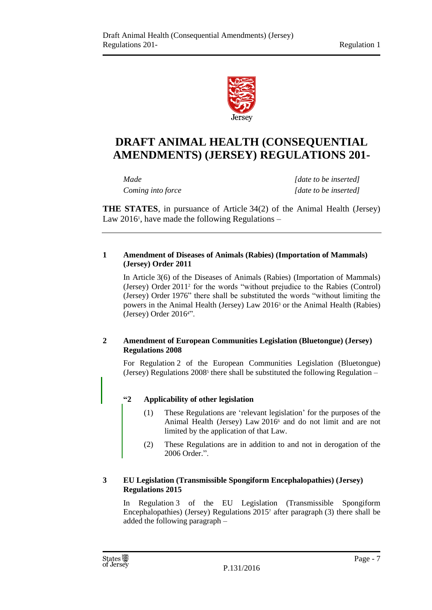

## **DRAFT ANIMAL HEALTH (CONSEQUENTIAL AMENDMENTS) (JERSEY) REGULATIONS 201-**

*Made [date to be inserted] Coming into force [date to be inserted]*

**THE STATES**, in pursuance of Article 34(2) of the Animal Health (Jersey) Law 2016<sup>1</sup>, have made the following Regulations –

#### <span id="page-6-0"></span>**1 Amendment of Diseases of Animals (Rabies) (Importation of Mammals) (Jersey) Order 2011**

In Article 3(6) of the Diseases of Animals (Rabies) (Importation of Mammals) (Jersey) Order 2011<sup>2</sup> for the words "without prejudice to the Rabies (Control) (Jersey) Order 1976" there shall be substituted the words "without limiting the powers in the Animal Health (Jersey) Law 2016<sup>3</sup> or the Animal Health (Rabies) (Jersey) Order 2016<sup>4"</sup>.

#### <span id="page-6-1"></span>**2 Amendment of European Communities Legislation (Bluetongue) (Jersey) Regulations 2008**

For Regulation 2 of the European Communities Legislation (Bluetongue) (Jersey) Regulations 2008<sup>5</sup> there shall be substituted the following Regulation -

#### **"2 Applicability of other legislation**

- (1) These Regulations are 'relevant legislation' for the purposes of the Animal Health (Jersey) Law 2016<sup>6</sup> and do not limit and are not limited by the application of that Law.
- (2) These Regulations are in addition to and not in derogation of the 2006 Order.".

#### <span id="page-6-2"></span>**3 EU Legislation (Transmissible Spongiform Encephalopathies) (Jersey) Regulations 2015**

In Regulation 3 of the EU Legislation (Transmissible Spongiform Encephalopathies) (Jersey) Regulations 2015<sup>7</sup> after paragraph (3) there shall be added the following paragraph –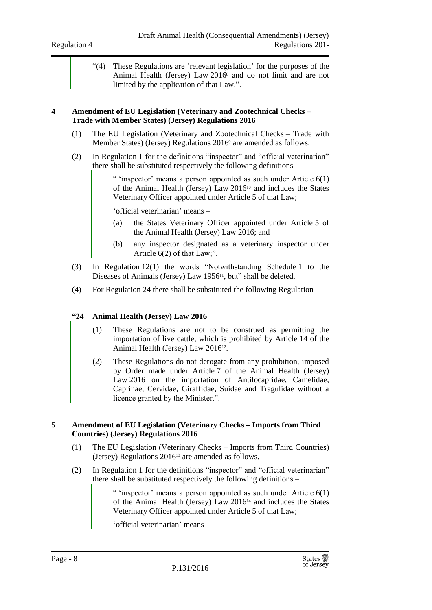"(4) These Regulations are 'relevant legislation' for the purposes of the Animal Health (Jersey) Law 2016<sup>8</sup> and do not limit and are not limited by the application of that Law.".

#### <span id="page-7-0"></span>**4 Amendment of EU Legislation (Veterinary and Zootechnical Checks – Trade with Member States) (Jersey) Regulations 2016**

- (1) The EU Legislation (Veterinary and Zootechnical Checks Trade with Member States) (Jersey) Regulations 2016<sup>9</sup> are amended as follows.
- (2) In Regulation 1 for the definitions "inspector" and "official veterinarian" there shall be substituted respectively the following definitions –

" 'inspector' means a person appointed as such under Article 6(1) of the Animal Health (Jersey) Law 2016<sup>10</sup> and includes the States Veterinary Officer appointed under Article 5 of that Law;

'official veterinarian' means –

- (a) the States Veterinary Officer appointed under Article 5 of the Animal Health (Jersey) Law 2016; and
- (b) any inspector designated as a veterinary inspector under Article 6(2) of that Law;".
- (3) In Regulation 12(1) the words "Notwithstanding Schedule 1 to the Diseases of Animals (Jersey) Law 1956<sup>11</sup>, but" shall be deleted.
- (4) For Regulation 24 there shall be substituted the following Regulation –

#### **"24 Animal Health (Jersey) Law 2016**

- (1) These Regulations are not to be construed as permitting the importation of live cattle, which is prohibited by Article 14 of the Animal Health (Jersey) Law 2016<sup>12</sup>.
- (2) These Regulations do not derogate from any prohibition, imposed by Order made under Article 7 of the Animal Health (Jersey) Law 2016 on the importation of Antilocapridae, Camelidae, Caprinae, Cervidae, Giraffidae, Suidae and Tragulidae without a licence granted by the Minister.".

#### <span id="page-7-1"></span>**5 Amendment of EU Legislation (Veterinary Checks – Imports from Third Countries) (Jersey) Regulations 2016**

- (1) The EU Legislation (Veterinary Checks Imports from Third Countries) (Jersey) Regulations 2016<sup>13</sup> are amended as follows.
- (2) In Regulation 1 for the definitions "inspector" and "official veterinarian" there shall be substituted respectively the following definitions –

" 'inspector' means a person appointed as such under Article  $6(1)$ of the Animal Health (Jersey) Law 2016<sup>14</sup> and includes the States Veterinary Officer appointed under Article 5 of that Law;

'official veterinarian' means –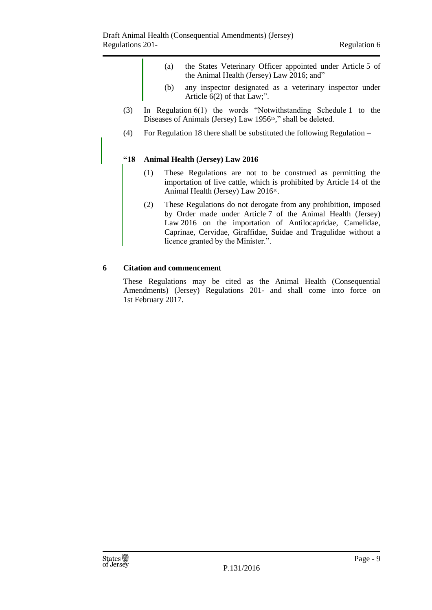- (a) the States Veterinary Officer appointed under Article 5 of the Animal Health (Jersey) Law 2016; and"
- (b) any inspector designated as a veterinary inspector under Article 6(2) of that Law;".
- (3) In Regulation 6(1) the words "Notwithstanding Schedule 1 to the Diseases of Animals (Jersey) Law 1956<sup>15</sup>," shall be deleted.
- (4) For Regulation 18 there shall be substituted the following Regulation –

#### **"18 Animal Health (Jersey) Law 2016**

- (1) These Regulations are not to be construed as permitting the importation of live cattle, which is prohibited by Article 14 of the Animal Health (Jersey) Law 2016<sup>16</sup>.
- (2) These Regulations do not derogate from any prohibition, imposed by Order made under Article 7 of the Animal Health (Jersey) Law 2016 on the importation of Antilocapridae, Camelidae, Caprinae, Cervidae, Giraffidae, Suidae and Tragulidae without a licence granted by the Minister.".

#### <span id="page-8-0"></span>**6 Citation and commencement**

These Regulations may be cited as the Animal Health (Consequential Amendments) (Jersey) Regulations 201- and shall come into force on 1st February 2017.